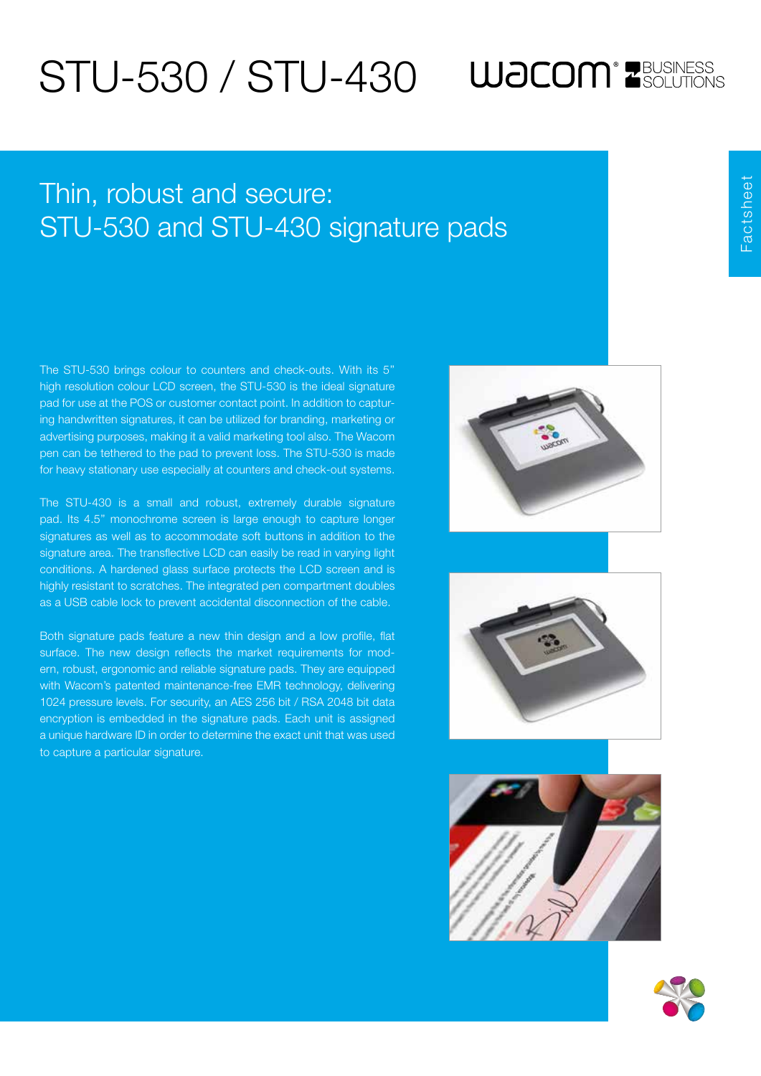# **WJCOM ZEUSINESS**

# Thin, robust and secure: STU-530 and STU-430 signature pads

STU-530 / STU-430

The STU-530 brings colour to counters and check-outs. With its 5'' high resolution colour LCD screen, the STU-530 is the ideal signature pad for use at the POS or customer contact point. In addition to capturing handwritten signatures, it can be utilized for branding, marketing or advertising purposes, making it a valid marketing tool also. The Wacom pen can be tethered to the pad to prevent loss. The STU-530 is made for heavy stationary use especially at counters and check-out systems.

The STU-430 is a small and robust, extremely durable signature pad. Its 4.5'' monochrome screen is large enough to capture longer signatures as well as to accommodate soft buttons in addition to the signature area. The transflective LCD can easily be read in varying light conditions. A hardened glass surface protects the LCD screen and is highly resistant to scratches. The integrated pen compartment doubles as a USB cable lock to prevent accidental disconnection of the cable.

Both signature pads feature a new thin design and a low profile, flat surface. The new design reflects the market requirements for modern, robust, ergonomic and reliable signature pads. They are equipped with Wacom's patented maintenance-free EMR technology, delivering 1024 pressure levels. For security, an AES 256 bit / RSA 2048 bit data encryption is embedded in the signature pads. Each unit is assigned a unique hardware ID in order to determine the exact unit that was used to capture a particular signature.